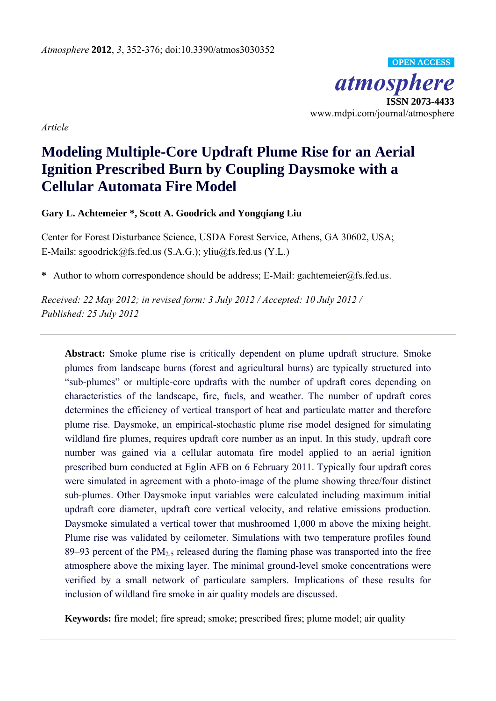*atmosphere*  **ISSN 2073-4433**  www.mdpi.com/journal/atmosphere **OPEN ACCESS**

*Article* 

# **Modeling Multiple-Core Updraft Plume Rise for an Aerial Ignition Prescribed Burn by Coupling Daysmoke with a Cellular Automata Fire Model**

**Gary L. Achtemeier \*, Scott A. Goodrick and Yongqiang Liu**

Center for Forest Disturbance Science, USDA Forest Service, Athens, GA 30602, USA; E-Mails: sgoodrick@fs.fed.us (S.A.G.); yliu@fs.fed.us (Y.L.)

**\*** Author to whom correspondence should be address; E-Mail: gachtemeier@fs.fed.us.

*Received: 22 May 2012; in revised form: 3 July 2012 / Accepted: 10 July 2012 / Published: 25 July 2012* 

**Abstract:** Smoke plume rise is critically dependent on plume updraft structure. Smoke plumes from landscape burns (forest and agricultural burns) are typically structured into "sub-plumes" or multiple-core updrafts with the number of updraft cores depending on characteristics of the landscape, fire, fuels, and weather. The number of updraft cores determines the efficiency of vertical transport of heat and particulate matter and therefore plume rise. Daysmoke, an empirical-stochastic plume rise model designed for simulating wildland fire plumes, requires updraft core number as an input. In this study, updraft core number was gained via a cellular automata fire model applied to an aerial ignition prescribed burn conducted at Eglin AFB on 6 February 2011. Typically four updraft cores were simulated in agreement with a photo-image of the plume showing three/four distinct sub-plumes. Other Daysmoke input variables were calculated including maximum initial updraft core diameter, updraft core vertical velocity, and relative emissions production. Daysmoke simulated a vertical tower that mushroomed 1,000 m above the mixing height. Plume rise was validated by ceilometer. Simulations with two temperature profiles found 89–93 percent of the  $PM_{2.5}$  released during the flaming phase was transported into the free atmosphere above the mixing layer. The minimal ground-level smoke concentrations were verified by a small network of particulate samplers. Implications of these results for inclusion of wildland fire smoke in air quality models are discussed.

**Keywords:** fire model; fire spread; smoke; prescribed fires; plume model; air quality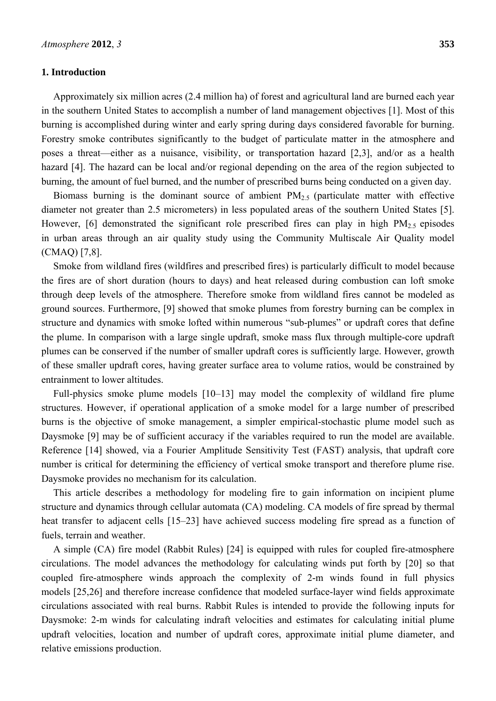## **1. Introduction**

Approximately six million acres (2.4 million ha) of forest and agricultural land are burned each year in the southern United States to accomplish a number of land management objectives [1]. Most of this burning is accomplished during winter and early spring during days considered favorable for burning. Forestry smoke contributes significantly to the budget of particulate matter in the atmosphere and poses a threat—either as a nuisance, visibility, or transportation hazard [2,3], and/or as a health hazard [4]. The hazard can be local and/or regional depending on the area of the region subjected to burning, the amount of fuel burned, and the number of prescribed burns being conducted on a given day.

Biomass burning is the dominant source of ambient  $PM<sub>2.5</sub>$  (particulate matter with effective diameter not greater than 2.5 micrometers) in less populated areas of the southern United States [5]. However, [6] demonstrated the significant role prescribed fires can play in high  $PM<sub>2.5</sub>$  episodes in urban areas through an air quality study using the Community Multiscale Air Quality model (CMAQ) [7,8].

Smoke from wildland fires (wildfires and prescribed fires) is particularly difficult to model because the fires are of short duration (hours to days) and heat released during combustion can loft smoke through deep levels of the atmosphere. Therefore smoke from wildland fires cannot be modeled as ground sources. Furthermore, [9] showed that smoke plumes from forestry burning can be complex in structure and dynamics with smoke lofted within numerous "sub-plumes" or updraft cores that define the plume. In comparison with a large single updraft, smoke mass flux through multiple-core updraft plumes can be conserved if the number of smaller updraft cores is sufficiently large. However, growth of these smaller updraft cores, having greater surface area to volume ratios, would be constrained by entrainment to lower altitudes.

Full-physics smoke plume models [10–13] may model the complexity of wildland fire plume structures. However, if operational application of a smoke model for a large number of prescribed burns is the objective of smoke management, a simpler empirical-stochastic plume model such as Daysmoke [9] may be of sufficient accuracy if the variables required to run the model are available. Reference [14] showed, via a Fourier Amplitude Sensitivity Test (FAST) analysis, that updraft core number is critical for determining the efficiency of vertical smoke transport and therefore plume rise. Daysmoke provides no mechanism for its calculation.

This article describes a methodology for modeling fire to gain information on incipient plume structure and dynamics through cellular automata (CA) modeling. CA models of fire spread by thermal heat transfer to adjacent cells [15–23] have achieved success modeling fire spread as a function of fuels, terrain and weather.

A simple (CA) fire model (Rabbit Rules) [24] is equipped with rules for coupled fire-atmosphere circulations. The model advances the methodology for calculating winds put forth by [20] so that coupled fire-atmosphere winds approach the complexity of 2-m winds found in full physics models [25,26] and therefore increase confidence that modeled surface-layer wind fields approximate circulations associated with real burns. Rabbit Rules is intended to provide the following inputs for Daysmoke: 2-m winds for calculating indraft velocities and estimates for calculating initial plume updraft velocities, location and number of updraft cores, approximate initial plume diameter, and relative emissions production.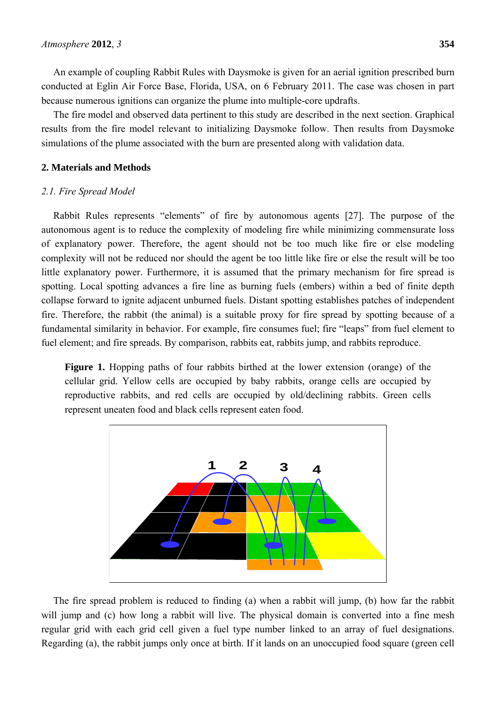An example of coupling Rabbit Rules with Daysmoke is given for an aerial ignition prescribed burn conducted at Eglin Air Force Base, Florida, USA, on 6 February 2011. The case was chosen in part because numerous ignitions can organize the plume into multiple-core updrafts.

The fire model and observed data pertinent to this study are described in the next section. Graphical results from the fire model relevant to initializing Daysmoke follow. Then results from Daysmoke simulations of the plume associated with the burn are presented along with validation data.

# **2. Materials and Methods**

## *2.1. Fire Spread Model*

Rabbit Rules represents "elements" of fire by autonomous agents [27]. The purpose of the autonomous agent is to reduce the complexity of modeling fire while minimizing commensurate loss of explanatory power. Therefore, the agent should not be too much like fire or else modeling complexity will not be reduced nor should the agent be too little like fire or else the result will be too little explanatory power. Furthermore, it is assumed that the primary mechanism for fire spread is spotting. Local spotting advances a fire line as burning fuels (embers) within a bed of finite depth collapse forward to ignite adjacent unburned fuels. Distant spotting establishes patches of independent fire. Therefore, the rabbit (the animal) is a suitable proxy for fire spread by spotting because of a fundamental similarity in behavior. For example, fire consumes fuel; fire "leaps" from fuel element to fuel element; and fire spreads. By comparison, rabbits eat, rabbits jump, and rabbits reproduce.

**Figure 1.** Hopping paths of four rabbits birthed at the lower extension (orange) of the cellular grid. Yellow cells are occupied by baby rabbits, orange cells are occupied by reproductive rabbits, and red cells are occupied by old/declining rabbits. Green cells represent uneaten food and black cells represent eaten food.



The fire spread problem is reduced to finding (a) when a rabbit will jump, (b) how far the rabbit will jump and (c) how long a rabbit will live. The physical domain is converted into a fine mesh regular grid with each grid cell given a fuel type number linked to an array of fuel designations. Regarding (a), the rabbit jumps only once at birth. If it lands on an unoccupied food square (green cell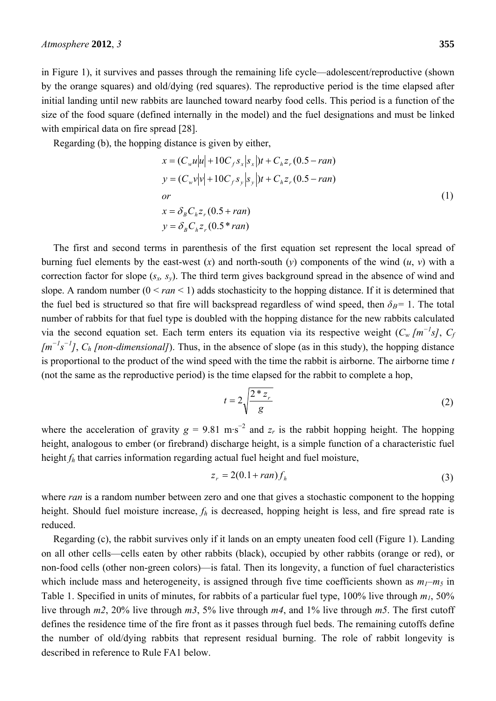in Figure 1), it survives and passes through the remaining life cycle—adolescent/reproductive (shown by the orange squares) and old/dying (red squares). The reproductive period is the time elapsed after initial landing until new rabbits are launched toward nearby food cells. This period is a function of the size of the food square (defined internally in the model) and the fuel designations and must be linked with empirical data on fire spread [28].

Regarding (b), the hopping distance is given by either,

$$
x = (C_w u|u| + 10C_f s_x |s_x|)t + C_h z_r (0.5 - ran)
$$
  
\n
$$
y = (C_w v|v| + 10C_f s_y |s_y|)t + C_h z_r (0.5 - ran)
$$
  
\nor  
\n
$$
x = \delta_B C_h z_r (0.5 + ran)
$$
  
\n
$$
y = \delta_B C_h z_r (0.5 * ran)
$$
 (1)

The first and second terms in parenthesis of the first equation set represent the local spread of burning fuel elements by the east-west  $(x)$  and north-south  $(v)$  components of the wind  $(u, v)$  with a correction factor for slope (*sx, sy*). The third term gives background spread in the absence of wind and slope. A random number  $(0 \leq ran \leq 1)$  adds stochasticity to the hopping distance. If it is determined that the fuel bed is structured so that fire will backspread regardless of wind speed, then  $\delta_B$ = 1. The total number of rabbits for that fuel type is doubled with the hopping distance for the new rabbits calculated via the second equation set. Each term enters its equation via its respective weight  $(C_w [m^{-1}s], C_p)$ *[m<sup>−</sup><sup>1</sup> s −1 ]*, *Ch [non-dimensional]*). Thus, in the absence of slope (as in this study), the hopping distance is proportional to the product of the wind speed with the time the rabbit is airborne. The airborne time *t* (not the same as the reproductive period) is the time elapsed for the rabbit to complete a hop,

$$
t = 2\sqrt{\frac{2 \cdot z_r}{g}}
$$
 (2)

where the acceleration of gravity  $g = 9.81 \text{ m} \cdot \text{s}^{-2}$  and  $z_r$  is the rabbit hopping height. The hopping height, analogous to ember (or firebrand) discharge height, is a simple function of a characteristic fuel height *fh* that carries information regarding actual fuel height and fuel moisture,

$$
z_r = 2(0.1 + ran)f_h \tag{3}
$$

where *ran* is a random number between zero and one that gives a stochastic component to the hopping height. Should fuel moisture increase, *fh* is decreased, hopping height is less, and fire spread rate is reduced.

Regarding (c), the rabbit survives only if it lands on an empty uneaten food cell (Figure 1). Landing on all other cells—cells eaten by other rabbits (black), occupied by other rabbits (orange or red), or non-food cells (other non-green colors)—is fatal. Then its longevity, a function of fuel characteristics which include mass and heterogeneity, is assigned through five time coefficients shown as  $m_1-m_5$  in Table 1. Specified in units of minutes, for rabbits of a particular fuel type,  $100\%$  live through  $m_1$ ,  $50\%$ live through *m2*, 20% live through *m3*, 5% live through *m4*, and 1% live through *m5*. The first cutoff defines the residence time of the fire front as it passes through fuel beds. The remaining cutoffs define the number of old/dying rabbits that represent residual burning. The role of rabbit longevity is described in reference to Rule FA1 below.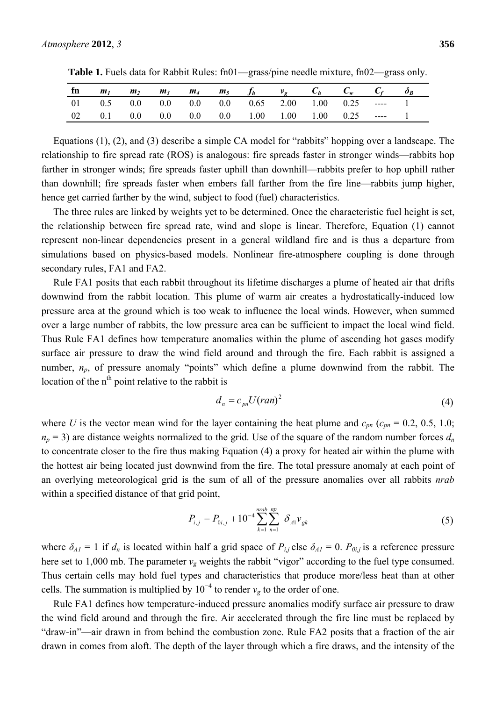|  |  |  | fn $m_1$ $m_2$ $m_3$ $m_4$ $m_5$ $f_h$ $v_g$ $C_h$ $C_w$ $C_f$ $\delta_B$ |  |  |  |
|--|--|--|---------------------------------------------------------------------------|--|--|--|
|  |  |  | 01 0.5 0.0 0.0 0.0 0.0 0.65 2.00 1.00 0.25 ---- 1                         |  |  |  |
|  |  |  | 02  0.1  0.0  0.0  0.0  1.00  1.00  1.00  0.25  ----  1                   |  |  |  |

**Table 1.** Fuels data for Rabbit Rules: fn01—grass/pine needle mixture, fn02—grass only.

Equations (1), (2), and (3) describe a simple CA model for "rabbits" hopping over a landscape. The relationship to fire spread rate (ROS) is analogous: fire spreads faster in stronger winds—rabbits hop farther in stronger winds; fire spreads faster uphill than downhill—rabbits prefer to hop uphill rather than downhill; fire spreads faster when embers fall farther from the fire line—rabbits jump higher, hence get carried farther by the wind, subject to food (fuel) characteristics.

The three rules are linked by weights yet to be determined. Once the characteristic fuel height is set, the relationship between fire spread rate, wind and slope is linear. Therefore, Equation (1) cannot represent non-linear dependencies present in a general wildland fire and is thus a departure from simulations based on physics-based models. Nonlinear fire-atmosphere coupling is done through secondary rules, FA1 and FA2.

Rule FA1 posits that each rabbit throughout its lifetime discharges a plume of heated air that drifts downwind from the rabbit location. This plume of warm air creates a hydrostatically-induced low pressure area at the ground which is too weak to influence the local winds. However, when summed over a large number of rabbits, the low pressure area can be sufficient to impact the local wind field. Thus Rule FA1 defines how temperature anomalies within the plume of ascending hot gases modify surface air pressure to draw the wind field around and through the fire. Each rabbit is assigned a number,  $n_p$ , of pressure anomaly "points" which define a plume downwind from the rabbit. The location of the  $n<sup>th</sup>$  point relative to the rabbit is

$$
d_n = c_{pn} U (ran)^2 \tag{4}
$$

where *U* is the vector mean wind for the layer containing the heat plume and  $c_{pn}$  ( $c_{pn}$  = 0.2, 0.5, 1.0;  $n_p$  = 3) are distance weights normalized to the grid. Use of the square of the random number forces  $d_n$ to concentrate closer to the fire thus making Equation (4) a proxy for heated air within the plume with the hottest air being located just downwind from the fire. The total pressure anomaly at each point of an overlying meteorological grid is the sum of all of the pressure anomalies over all rabbits *nrab* within a specified distance of that grid point,

$$
P_{i,j} = P_{0i,j} + 10^{-4} \sum_{k=1}^{nrab} \sum_{n=1}^{np} \delta_{A1} v_{gk}
$$
 (5)

where  $\delta_{AI} = 1$  if  $d_n$  is located within half a grid space of  $P_{i,j}$  else  $\delta_{AI} = 0$ .  $P_{0i,j}$  is a reference pressure here set to 1,000 mb. The parameter  $v_g$  weights the rabbit "vigor" according to the fuel type consumed. Thus certain cells may hold fuel types and characteristics that produce more/less heat than at other cells. The summation is multiplied by  $10^{-4}$  to render  $v_g$  to the order of one.

Rule FA1 defines how temperature-induced pressure anomalies modify surface air pressure to draw the wind field around and through the fire. Air accelerated through the fire line must be replaced by "draw-in"—air drawn in from behind the combustion zone. Rule FA2 posits that a fraction of the air drawn in comes from aloft. The depth of the layer through which a fire draws, and the intensity of the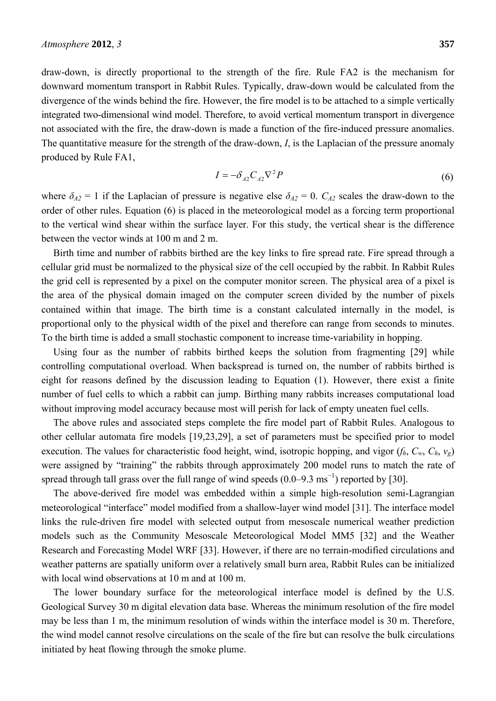draw-down, is directly proportional to the strength of the fire. Rule FA2 is the mechanism for downward momentum transport in Rabbit Rules. Typically, draw-down would be calculated from the divergence of the winds behind the fire. However, the fire model is to be attached to a simple vertically integrated two-dimensional wind model. Therefore, to avoid vertical momentum transport in divergence not associated with the fire, the draw-down is made a function of the fire-induced pressure anomalies. The quantitative measure for the strength of the draw-down, *I*, is the Laplacian of the pressure anomaly produced by Rule FA1,

$$
I = -\delta_{A2} C_{A2} \nabla^2 P \tag{6}
$$

where  $\delta_{A2} = 1$  if the Laplacian of pressure is negative else  $\delta_{A2} = 0$ .  $C_{A2}$  scales the draw-down to the order of other rules. Equation (6) is placed in the meteorological model as a forcing term proportional to the vertical wind shear within the surface layer. For this study, the vertical shear is the difference between the vector winds at 100 m and 2 m.

Birth time and number of rabbits birthed are the key links to fire spread rate. Fire spread through a cellular grid must be normalized to the physical size of the cell occupied by the rabbit. In Rabbit Rules the grid cell is represented by a pixel on the computer monitor screen. The physical area of a pixel is the area of the physical domain imaged on the computer screen divided by the number of pixels contained within that image. The birth time is a constant calculated internally in the model, is proportional only to the physical width of the pixel and therefore can range from seconds to minutes. To the birth time is added a small stochastic component to increase time-variability in hopping.

Using four as the number of rabbits birthed keeps the solution from fragmenting [29] while controlling computational overload. When backspread is turned on, the number of rabbits birthed is eight for reasons defined by the discussion leading to Equation (1). However, there exist a finite number of fuel cells to which a rabbit can jump. Birthing many rabbits increases computational load without improving model accuracy because most will perish for lack of empty uneaten fuel cells.

The above rules and associated steps complete the fire model part of Rabbit Rules. Analogous to other cellular automata fire models [19,23,29], a set of parameters must be specified prior to model execution. The values for characteristic food height, wind, isotropic hopping, and vigor  $(f_h, C_w, C_h, v_g)$ were assigned by "training" the rabbits through approximately 200 model runs to match the rate of spread through tall grass over the full range of wind speeds  $(0.0-9.3 \text{ ms}^{-1})$  reported by [30].

The above-derived fire model was embedded within a simple high-resolution semi-Lagrangian meteorological "interface" model modified from a shallow-layer wind model [31]. The interface model links the rule-driven fire model with selected output from mesoscale numerical weather prediction models such as the Community Mesoscale Meteorological Model MM5 [32] and the Weather Research and Forecasting Model WRF [33]. However, if there are no terrain-modified circulations and weather patterns are spatially uniform over a relatively small burn area, Rabbit Rules can be initialized with local wind observations at 10 m and at 100 m.

The lower boundary surface for the meteorological interface model is defined by the U.S. Geological Survey 30 m digital elevation data base. Whereas the minimum resolution of the fire model may be less than 1 m, the minimum resolution of winds within the interface model is 30 m. Therefore, the wind model cannot resolve circulations on the scale of the fire but can resolve the bulk circulations initiated by heat flowing through the smoke plume.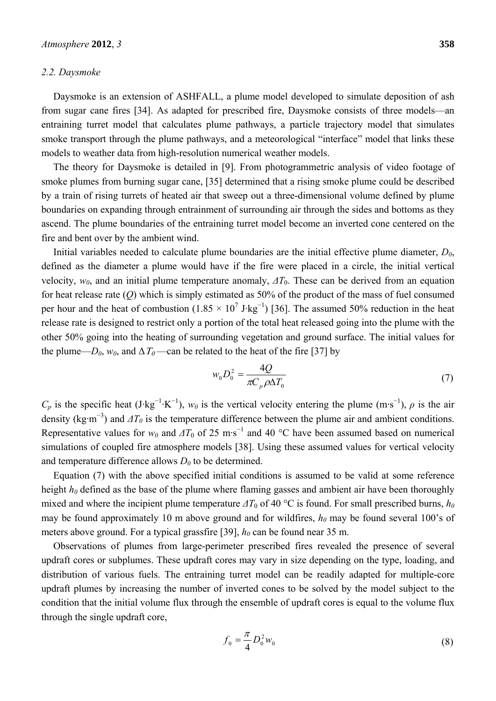#### *2.2. Daysmoke*

Daysmoke is an extension of ASHFALL, a plume model developed to simulate deposition of ash from sugar cane fires [34]. As adapted for prescribed fire, Daysmoke consists of three models—an entraining turret model that calculates plume pathways, a particle trajectory model that simulates smoke transport through the plume pathways, and a meteorological "interface" model that links these models to weather data from high-resolution numerical weather models.

The theory for Daysmoke is detailed in [9]. From photogrammetric analysis of video footage of smoke plumes from burning sugar cane, [35] determined that a rising smoke plume could be described by a train of rising turrets of heated air that sweep out a three-dimensional volume defined by plume boundaries on expanding through entrainment of surrounding air through the sides and bottoms as they ascend. The plume boundaries of the entraining turret model become an inverted cone centered on the fire and bent over by the ambient wind.

Initial variables needed to calculate plume boundaries are the initial effective plume diameter,  $D_0$ , defined as the diameter a plume would have if the fire were placed in a circle, the initial vertical velocity, *w0*, and an initial plume temperature anomaly, *ΔT*0. These can be derived from an equation for heat release rate (*Q*) which is simply estimated as 50% of the product of the mass of fuel consumed per hour and the heat of combustion  $(1.85 \times 10^7 \text{ J} \cdot \text{kg}^{-1})$  [36]. The assumed 50% reduction in the heat release rate is designed to restrict only a portion of the total heat released going into the plume with the other 50% going into the heating of surrounding vegetation and ground surface. The initial values for the plume— $D_0$ ,  $w_0$ , and  $\Delta T_0$ —can be related to the heat of the fire [37] by

$$
w_0 D_0^2 = \frac{4Q}{\pi C_p \rho \Delta T_0}
$$
\n<sup>(7)</sup>

 $C_p$  is the specific heat (J·kg<sup>-1</sup>·K<sup>-1</sup>),  $w_0$  is the vertical velocity entering the plume (m·s<sup>-1</sup>),  $\rho$  is the air density (kg·m<sup>-3</sup>) and  $\Delta T_0$  is the temperature difference between the plume air and ambient conditions. Representative values for  $w_0$  and  $\Delta T_0$  of 25 m·s<sup>-1</sup> and 40 °C have been assumed based on numerical simulations of coupled fire atmosphere models [38]. Using these assumed values for vertical velocity and temperature difference allows  $D_0$  to be determined.

Equation (7) with the above specified initial conditions is assumed to be valid at some reference height  $h_0$  defined as the base of the plume where flaming gasses and ambient air have been thoroughly mixed and where the incipient plume temperature  $\Delta T_0$  of 40 °C is found. For small prescribed burns,  $h_0$ may be found approximately 10 m above ground and for wildfires,  $h_0$  may be found several 100's of meters above ground. For a typical grassfire [39],  $h_0$  can be found near 35 m.

Observations of plumes from large-perimeter prescribed fires revealed the presence of several updraft cores or subplumes. These updraft cores may vary in size depending on the type, loading, and distribution of various fuels. The entraining turret model can be readily adapted for multiple-core updraft plumes by increasing the number of inverted cones to be solved by the model subject to the condition that the initial volume flux through the ensemble of updraft cores is equal to the volume flux through the single updraft core,

$$
f_0 = \frac{\pi}{4} D_0^2 w_0 \tag{8}
$$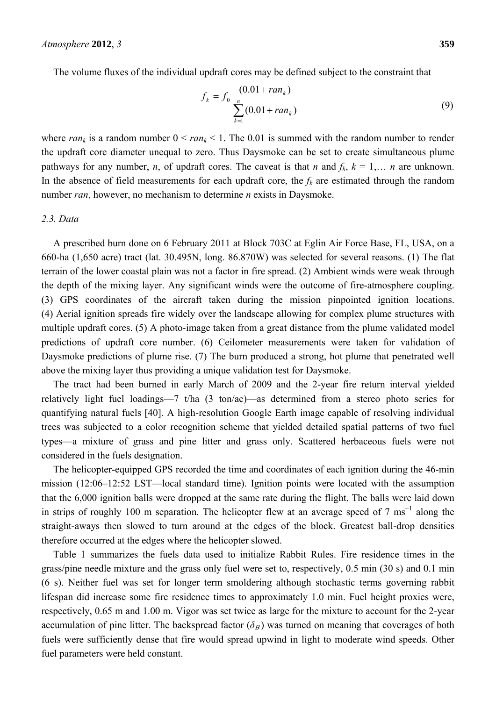The volume fluxes of the individual updraft cores may be defined subject to the constraint that

$$
f_k = f_0 \frac{(0.01 + ran_k)}{\sum_{k=1}^{n} (0.01 + ran_k)}
$$
(9)

where  $ran_k$  is a random number  $0 < ran_k < 1$ . The 0.01 is summed with the random number to render the updraft core diameter unequal to zero. Thus Daysmoke can be set to create simultaneous plume pathways for any number, *n*, of updraft cores. The caveat is that *n* and  $f_k$ ,  $k = 1,..., n$  are unknown. In the absence of field measurements for each updraft core, the  $f_k$  are estimated through the random number *ran*, however, no mechanism to determine *n* exists in Daysmoke.

## *2.3. Data*

A prescribed burn done on 6 February 2011 at Block 703C at Eglin Air Force Base, FL, USA, on a 660-ha (1,650 acre) tract (lat. 30.495N, long. 86.870W) was selected for several reasons. (1) The flat terrain of the lower coastal plain was not a factor in fire spread. (2) Ambient winds were weak through the depth of the mixing layer. Any significant winds were the outcome of fire-atmosphere coupling. (3) GPS coordinates of the aircraft taken during the mission pinpointed ignition locations. (4) Aerial ignition spreads fire widely over the landscape allowing for complex plume structures with multiple updraft cores. (5) A photo-image taken from a great distance from the plume validated model predictions of updraft core number. (6) Ceilometer measurements were taken for validation of Daysmoke predictions of plume rise. (7) The burn produced a strong, hot plume that penetrated well above the mixing layer thus providing a unique validation test for Daysmoke.

The tract had been burned in early March of 2009 and the 2-year fire return interval yielded relatively light fuel loadings—7 t/ha (3 ton/ac)—as determined from a stereo photo series for quantifying natural fuels [40]. A high-resolution Google Earth image capable of resolving individual trees was subjected to a color recognition scheme that yielded detailed spatial patterns of two fuel types—a mixture of grass and pine litter and grass only. Scattered herbaceous fuels were not considered in the fuels designation.

The helicopter-equipped GPS recorded the time and coordinates of each ignition during the 46-min mission (12:06–12:52 LST—local standard time). Ignition points were located with the assumption that the 6,000 ignition balls were dropped at the same rate during the flight. The balls were laid down in strips of roughly 100 m separation. The helicopter flew at an average speed of 7 ms<sup>-1</sup> along the straight-aways then slowed to turn around at the edges of the block. Greatest ball-drop densities therefore occurred at the edges where the helicopter slowed.

Table 1 summarizes the fuels data used to initialize Rabbit Rules. Fire residence times in the grass/pine needle mixture and the grass only fuel were set to, respectively, 0.5 min (30 s) and 0.1 min (6 s). Neither fuel was set for longer term smoldering although stochastic terms governing rabbit lifespan did increase some fire residence times to approximately 1.0 min. Fuel height proxies were, respectively, 0.65 m and 1.00 m. Vigor was set twice as large for the mixture to account for the 2-year accumulation of pine litter. The backspread factor  $(\delta_B)$  was turned on meaning that coverages of both fuels were sufficiently dense that fire would spread upwind in light to moderate wind speeds. Other fuel parameters were held constant.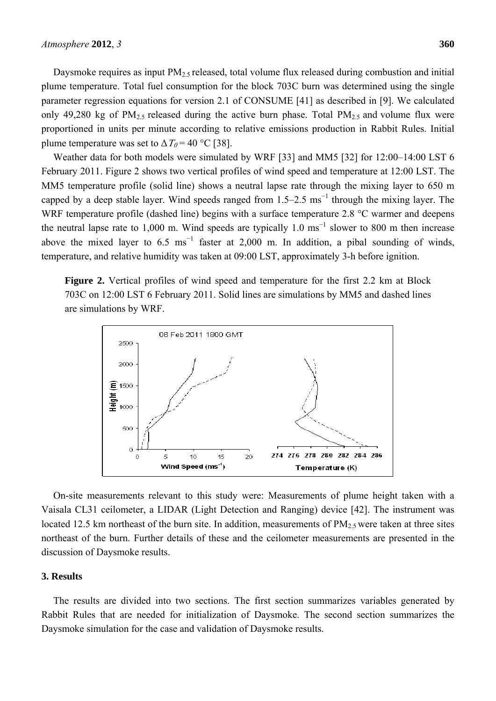Daysmoke requires as input  $PM<sub>2.5</sub>$  released, total volume flux released during combustion and initial plume temperature. Total fuel consumption for the block 703C burn was determined using the single parameter regression equations for version 2.1 of CONSUME [41] as described in [9]. We calculated only 49,280 kg of  $PM_{2.5}$  released during the active burn phase. Total  $PM_{2.5}$  and volume flux were proportioned in units per minute according to relative emissions production in Rabbit Rules. Initial plume temperature was set to  $\Delta T_0 = 40$  °C [38].

Weather data for both models were simulated by WRF [33] and MM5 [32] for 12:00–14:00 LST 6 February 2011. Figure 2 shows two vertical profiles of wind speed and temperature at 12:00 LST. The MM5 temperature profile (solid line) shows a neutral lapse rate through the mixing layer to 650 m capped by a deep stable layer. Wind speeds ranged from  $1.5-2.5 \text{ ms}^{-1}$  through the mixing layer. The WRF temperature profile (dashed line) begins with a surface temperature 2.8 °C warmer and deepens the neutral lapse rate to 1,000 m. Wind speeds are typically 1.0 ms<sup>-1</sup> slower to 800 m then increase above the mixed layer to  $6.5 \text{ ms}^{-1}$  faster at 2,000 m. In addition, a pibal sounding of winds, temperature, and relative humidity was taken at 09:00 LST, approximately 3-h before ignition.

**Figure 2.** Vertical profiles of wind speed and temperature for the first 2.2 km at Block 703C on 12:00 LST 6 February 2011. Solid lines are simulations by MM5 and dashed lines are simulations by WRF.



On-site measurements relevant to this study were: Measurements of plume height taken with a Vaisala CL31 ceilometer, a LIDAR (Light Detection and Ranging) device [42]. The instrument was located 12.5 km northeast of the burn site. In addition, measurements of  $PM<sub>2.5</sub>$  were taken at three sites northeast of the burn. Further details of these and the ceilometer measurements are presented in the discussion of Daysmoke results.

### **3. Results**

The results are divided into two sections. The first section summarizes variables generated by Rabbit Rules that are needed for initialization of Daysmoke. The second section summarizes the Daysmoke simulation for the case and validation of Daysmoke results.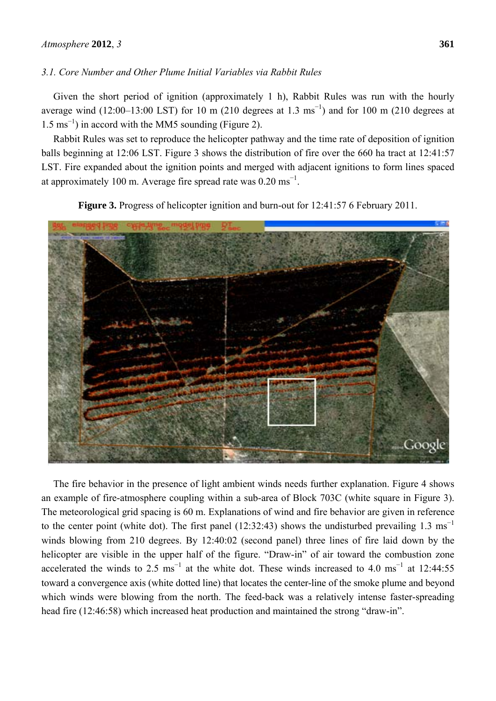# *3.1. Core Number and Other Plume Initial Variables via Rabbit Rules*

Given the short period of ignition (approximately 1 h), Rabbit Rules was run with the hourly average wind (12:00–13:00 LST) for 10 m (210 degrees at 1.3 ms<sup>-1</sup>) and for 100 m (210 degrees at 1.5 ms<sup>−</sup><sup>1</sup> ) in accord with the MM5 sounding (Figure 2).

Rabbit Rules was set to reproduce the helicopter pathway and the time rate of deposition of ignition balls beginning at 12:06 LST. Figure 3 shows the distribution of fire over the 660 ha tract at 12:41:57 LST. Fire expanded about the ignition points and merged with adjacent ignitions to form lines spaced at approximately 100 m. Average fire spread rate was  $0.20 \text{ ms}^{-1}$ .

**Figure 3.** Progress of helicopter ignition and burn-out for 12:41:57 6 February 2011.



The fire behavior in the presence of light ambient winds needs further explanation. Figure 4 shows an example of fire-atmosphere coupling within a sub-area of Block 703C (white square in Figure 3). The meteorological grid spacing is 60 m. Explanations of wind and fire behavior are given in reference to the center point (white dot). The first panel (12:32:43) shows the undisturbed prevailing 1.3 ms<sup>-1</sup> winds blowing from 210 degrees. By 12:40:02 (second panel) three lines of fire laid down by the helicopter are visible in the upper half of the figure. "Draw-in" of air toward the combustion zone accelerated the winds to 2.5 ms<sup>-1</sup> at the white dot. These winds increased to 4.0 ms<sup>-1</sup> at 12:44:55 toward a convergence axis (white dotted line) that locates the center-line of the smoke plume and beyond which winds were blowing from the north. The feed-back was a relatively intense faster-spreading head fire (12:46:58) which increased heat production and maintained the strong "draw-in".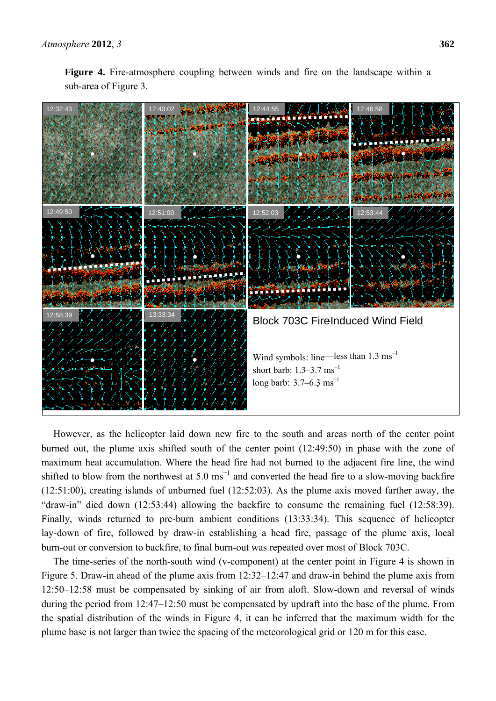



However, as the helicopter laid down new fire to the south and areas north of the center point burned out, the plume axis shifted south of the center point (12:49:50) in phase with the zone of maximum heat accumulation. Where the head fire had not burned to the adjacent fire line, the wind shifted to blow from the northwest at 5.0  $\text{ms}^{-1}$  and converted the head fire to a slow-moving backfire (12:51:00), creating islands of unburned fuel (12:52:03). As the plume axis moved farther away, the "draw-in" died down (12:53:44) allowing the backfire to consume the remaining fuel (12:58:39). Finally, winds returned to pre-burn ambient conditions (13:33:34). This sequence of helicopter lay-down of fire, followed by draw-in establishing a head fire, passage of the plume axis, local burn-out or conversion to backfire, to final burn-out was repeated over most of Block 703C.

The time-series of the north-south wind (v-component) at the center point in Figure 4 is shown in Figure 5. Draw-in ahead of the plume axis from 12:32–12:47 and draw-in behind the plume axis from 12:50–12:58 must be compensated by sinking of air from aloft. Slow-down and reversal of winds during the period from 12:47–12:50 must be compensated by updraft into the base of the plume. From the spatial distribution of the winds in Figure 4, it can be inferred that the maximum width for the plume base is not larger than twice the spacing of the meteorological grid or 120 m for this case.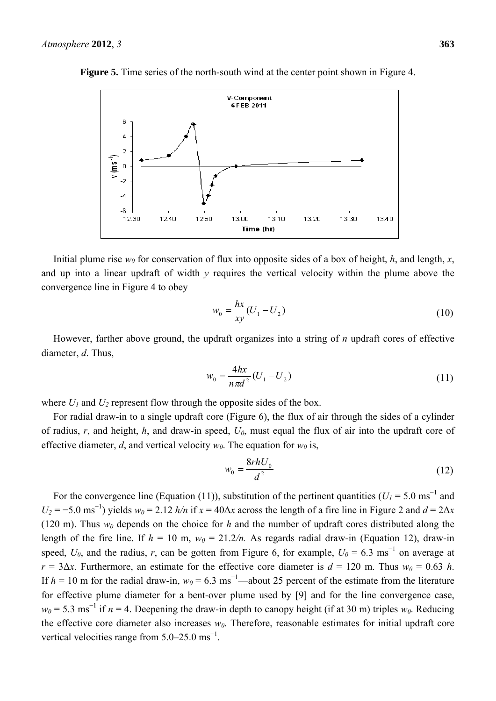

**Figure 5.** Time series of the north-south wind at the center point shown in Figure 4.

Initial plume rise  $w_0$  for conservation of flux into opposite sides of a box of height, *h*, and length, *x*, and up into a linear updraft of width *y* requires the vertical velocity within the plume above the convergence line in Figure 4 to obey

$$
w_0 = \frac{hx}{xy}(U_1 - U_2)
$$
 (10)

However, farther above ground, the updraft organizes into a string of *n* updraft cores of effective diameter, *d*. Thus,

$$
w_0 = \frac{4hx}{n\pi d^2} (U_1 - U_2)
$$
\n(11)

where  $U_1$  and  $U_2$  represent flow through the opposite sides of the box.

For radial draw-in to a single updraft core (Figure 6), the flux of air through the sides of a cylinder of radius, *r*, and height, *h*, and draw-in speed, *U0*, must equal the flux of air into the updraft core of effective diameter, *d*, and vertical velocity  $w_0$ . The equation for  $w_0$  is,

$$
w_0 = \frac{8rhU_0}{d^2} \tag{12}
$$

For the convergence line (Equation (11)), substitution of the pertinent quantities ( $U_I = 5.0 \text{ ms}^{-1}$  and  $U_2 = -5.0$  ms<sup>-1</sup>) yields  $w_0 = 2.12$  *h/n* if  $x = 40\Delta x$  across the length of a fire line in Figure 2 and  $d = 2\Delta x$ (120 m). Thus  $w_0$  depends on the choice for h and the number of updraft cores distributed along the length of the fire line. If  $h = 10$  m,  $w_0 = 21.2/n$ . As regards radial draw-in (Equation 12), draw-in speed,  $U_0$ , and the radius, *r*, can be gotten from Figure 6, for example,  $U_0 = 6.3 \text{ ms}^{-1}$  on average at  $r = 3\Delta x$ . Furthermore, an estimate for the effective core diameter is  $d = 120$  m. Thus  $w_0 = 0.63$  *h*. If  $h = 10$  m for the radial draw-in,  $w_0 = 6.3$  ms<sup>-1</sup>—about 25 percent of the estimate from the literature for effective plume diameter for a bent-over plume used by [9] and for the line convergence case,  $w_0$  = 5.3 ms<sup>-1</sup> if *n* = 4. Deepening the draw-in depth to canopy height (if at 30 m) triples  $w_0$ . Reducing the effective core diameter also increases  $w_0$ . Therefore, reasonable estimates for initial updraft core vertical velocities range from  $5.0-25.0 \text{ ms}^{-1}$ .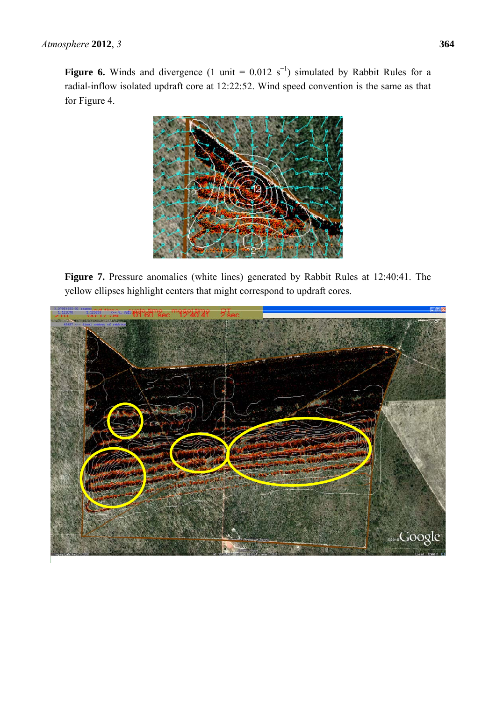**Figure 6.** Winds and divergence  $(1 \text{ unit} = 0.012 \text{ s}^{-1})$  simulated by Rabbit Rules for a radial-inflow isolated updraft core at 12:22:52. Wind speed convention is the same as that for Figure 4.



**Figure 7.** Pressure anomalies (white lines) generated by Rabbit Rules at 12:40:41. The yellow ellipses highlight centers that might correspond to updraft cores.

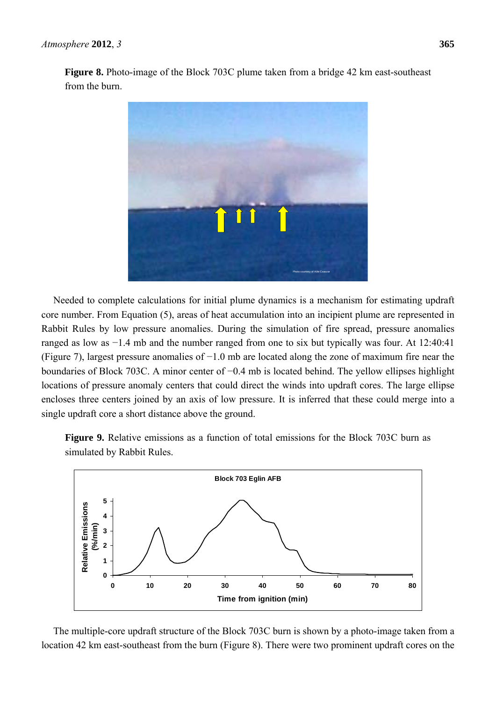

Needed to complete calculations for initial plume dynamics is a mechanism for estimating updraft core number. From Equation (5), areas of heat accumulation into an incipient plume are represented in Rabbit Rules by low pressure anomalies. During the simulation of fire spread, pressure anomalies ranged as low as −1.4 mb and the number ranged from one to six but typically was four. At 12:40:41 (Figure 7), largest pressure anomalies of −1.0 mb are located along the zone of maximum fire near the boundaries of Block 703C. A minor center of −0.4 mb is located behind. The yellow ellipses highlight locations of pressure anomaly centers that could direct the winds into updraft cores. The large ellipse encloses three centers joined by an axis of low pressure. It is inferred that these could merge into a single updraft core a short distance above the ground.

**Figure 9.** Relative emissions as a function of total emissions for the Block 703C burn as simulated by Rabbit Rules.



The multiple-core updraft structure of the Block 703C burn is shown by a photo-image taken from a location 42 km east-southeast from the burn (Figure 8). There were two prominent updraft cores on the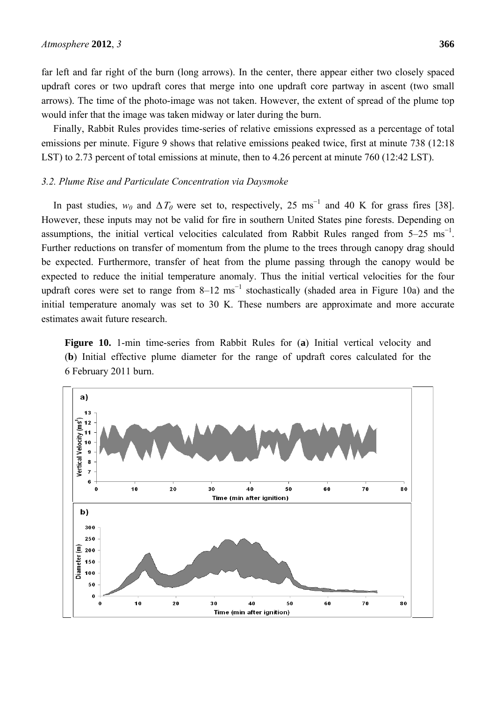far left and far right of the burn (long arrows). In the center, there appear either two closely spaced updraft cores or two updraft cores that merge into one updraft core partway in ascent (two small arrows). The time of the photo-image was not taken. However, the extent of spread of the plume top would infer that the image was taken midway or later during the burn.

Finally, Rabbit Rules provides time-series of relative emissions expressed as a percentage of total emissions per minute. Figure 9 shows that relative emissions peaked twice, first at minute 738 (12:18 LST) to 2.73 percent of total emissions at minute, then to 4.26 percent at minute 760 (12:42 LST).

# *3.2. Plume Rise and Particulate Concentration via Daysmoke*

In past studies,  $w_0$  and  $\Delta T_0$  were set to, respectively, 25 ms<sup>-1</sup> and 40 K for grass fires [38]. However, these inputs may not be valid for fire in southern United States pine forests. Depending on assumptions, the initial vertical velocities calculated from Rabbit Rules ranged from  $5-25$  ms<sup>-1</sup>. Further reductions on transfer of momentum from the plume to the trees through canopy drag should be expected. Furthermore, transfer of heat from the plume passing through the canopy would be expected to reduce the initial temperature anomaly. Thus the initial vertical velocities for the four updraft cores were set to range from  $8-12$  ms<sup>-1</sup> stochastically (shaded area in Figure 10a) and the initial temperature anomaly was set to 30 K. These numbers are approximate and more accurate estimates await future research.

**Figure 10.** 1-min time-series from Rabbit Rules for (**a**) Initial vertical velocity and (**b**) Initial effective plume diameter for the range of updraft cores calculated for the 6 February 2011 burn.

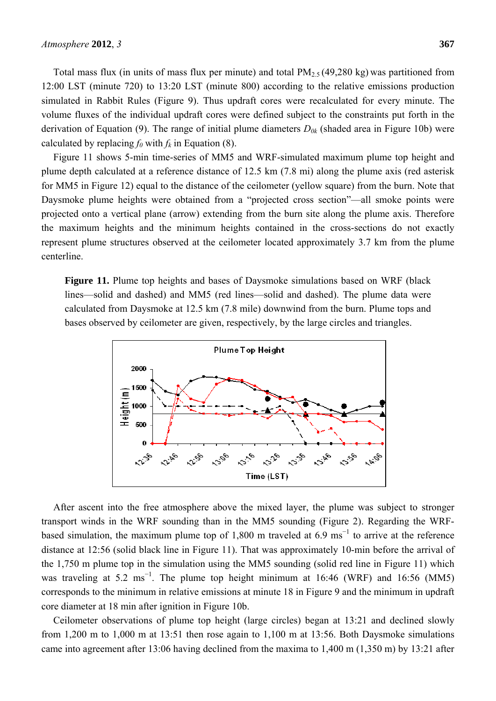Total mass flux (in units of mass flux per minute) and total  $PM_{2.5}(49,280 \text{ kg})$  was partitioned from 12:00 LST (minute 720) to 13:20 LST (minute 800) according to the relative emissions production simulated in Rabbit Rules (Figure 9). Thus updraft cores were recalculated for every minute. The volume fluxes of the individual updraft cores were defined subject to the constraints put forth in the derivation of Equation (9). The range of initial plume diameters  $D_{0k}$  (shaded area in Figure 10b) were calculated by replacing  $f_0$  with  $f_k$  in Equation (8).

Figure 11 shows 5-min time-series of MM5 and WRF-simulated maximum plume top height and plume depth calculated at a reference distance of 12.5 km (7.8 mi) along the plume axis (red asterisk for MM5 in Figure 12) equal to the distance of the ceilometer (yellow square) from the burn. Note that Daysmoke plume heights were obtained from a "projected cross section"—all smoke points were projected onto a vertical plane (arrow) extending from the burn site along the plume axis. Therefore the maximum heights and the minimum heights contained in the cross-sections do not exactly represent plume structures observed at the ceilometer located approximately 3.7 km from the plume centerline.

**Figure 11.** Plume top heights and bases of Daysmoke simulations based on WRF (black lines—solid and dashed) and MM5 (red lines—solid and dashed). The plume data were calculated from Daysmoke at 12.5 km (7.8 mile) downwind from the burn. Plume tops and bases observed by ceilometer are given, respectively, by the large circles and triangles.



After ascent into the free atmosphere above the mixed layer, the plume was subject to stronger transport winds in the WRF sounding than in the MM5 sounding (Figure 2). Regarding the WRFbased simulation, the maximum plume top of 1,800 m traveled at 6.9 ms<sup>-1</sup> to arrive at the reference distance at 12:56 (solid black line in Figure 11). That was approximately 10-min before the arrival of the 1,750 m plume top in the simulation using the MM5 sounding (solid red line in Figure 11) which was traveling at 5.2 ms<sup>-1</sup>. The plume top height minimum at 16:46 (WRF) and 16:56 (MM5) corresponds to the minimum in relative emissions at minute 18 in Figure 9 and the minimum in updraft core diameter at 18 min after ignition in Figure 10b.

Ceilometer observations of plume top height (large circles) began at 13:21 and declined slowly from 1,200 m to 1,000 m at 13:51 then rose again to 1,100 m at 13:56. Both Daysmoke simulations came into agreement after 13:06 having declined from the maxima to 1,400 m (1,350 m) by 13:21 after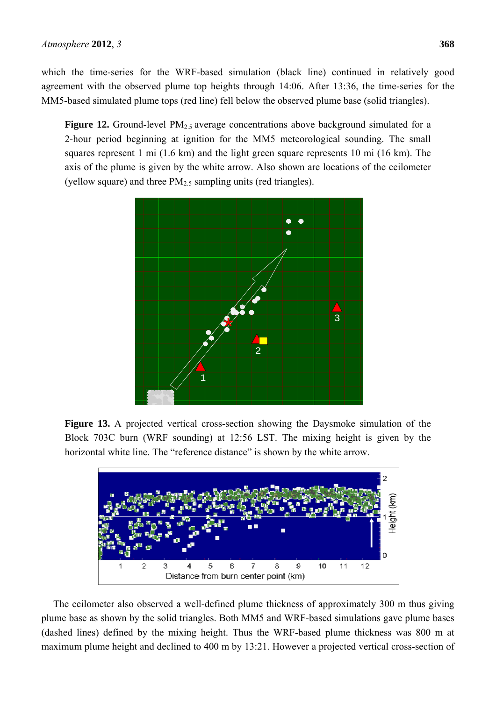which the time-series for the WRF-based simulation (black line) continued in relatively good agreement with the observed plume top heights through 14:06. After 13:36, the time-series for the MM5-based simulated plume tops (red line) fell below the observed plume base (solid triangles).

**Figure 12.** Ground-level PM<sub>2.5</sub> average concentrations above background simulated for a 2-hour period beginning at ignition for the MM5 meteorological sounding. The small squares represent 1 mi (1.6 km) and the light green square represents 10 mi (16 km). The axis of the plume is given by the white arrow. Also shown are locations of the ceilometer (yellow square) and three  $PM_{2.5}$  sampling units (red triangles).



**Figure 13.** A projected vertical cross-section showing the Daysmoke simulation of the Block 703C burn (WRF sounding) at 12:56 LST. The mixing height is given by the horizontal white line. The "reference distance" is shown by the white arrow.



The ceilometer also observed a well-defined plume thickness of approximately 300 m thus giving plume base as shown by the solid triangles. Both MM5 and WRF-based simulations gave plume bases (dashed lines) defined by the mixing height. Thus the WRF-based plume thickness was 800 m at maximum plume height and declined to 400 m by 13:21. However a projected vertical cross-section of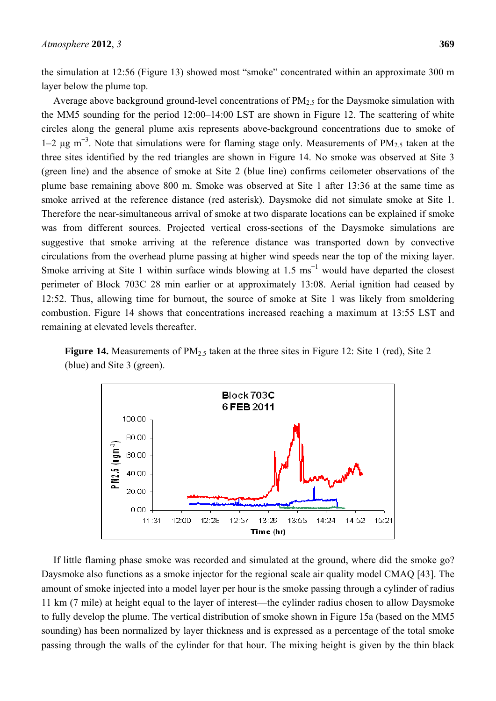Average above background ground-level concentrations of  $PM<sub>2.5</sub>$  for the Daysmoke simulation with the MM5 sounding for the period 12:00–14:00 LST are shown in Figure 12. The scattering of white circles along the general plume axis represents above-background concentrations due to smoke of 1–2 μg m<sup>−</sup><sup>3</sup> . Note that simulations were for flaming stage only. Measurements of PM2.5 taken at the three sites identified by the red triangles are shown in Figure 14. No smoke was observed at Site 3 (green line) and the absence of smoke at Site 2 (blue line) confirms ceilometer observations of the plume base remaining above 800 m. Smoke was observed at Site 1 after 13:36 at the same time as smoke arrived at the reference distance (red asterisk). Daysmoke did not simulate smoke at Site 1. Therefore the near-simultaneous arrival of smoke at two disparate locations can be explained if smoke was from different sources. Projected vertical cross-sections of the Daysmoke simulations are suggestive that smoke arriving at the reference distance was transported down by convective circulations from the overhead plume passing at higher wind speeds near the top of the mixing layer. Smoke arriving at Site 1 within surface winds blowing at  $1.5 \text{ ms}^{-1}$  would have departed the closest perimeter of Block 703C 28 min earlier or at approximately 13:08. Aerial ignition had ceased by 12:52. Thus, allowing time for burnout, the source of smoke at Site 1 was likely from smoldering combustion. Figure 14 shows that concentrations increased reaching a maximum at 13:55 LST and remaining at elevated levels thereafter.

**Figure 14.** Measurements of PM<sub>2.5</sub> taken at the three sites in Figure 12: Site 1 (red), Site 2 (blue) and Site 3 (green).



If little flaming phase smoke was recorded and simulated at the ground, where did the smoke go? Daysmoke also functions as a smoke injector for the regional scale air quality model CMAQ [43]. The amount of smoke injected into a model layer per hour is the smoke passing through a cylinder of radius 11 km (7 mile) at height equal to the layer of interest—the cylinder radius chosen to allow Daysmoke to fully develop the plume. The vertical distribution of smoke shown in Figure 15a (based on the MM5 sounding) has been normalized by layer thickness and is expressed as a percentage of the total smoke passing through the walls of the cylinder for that hour. The mixing height is given by the thin black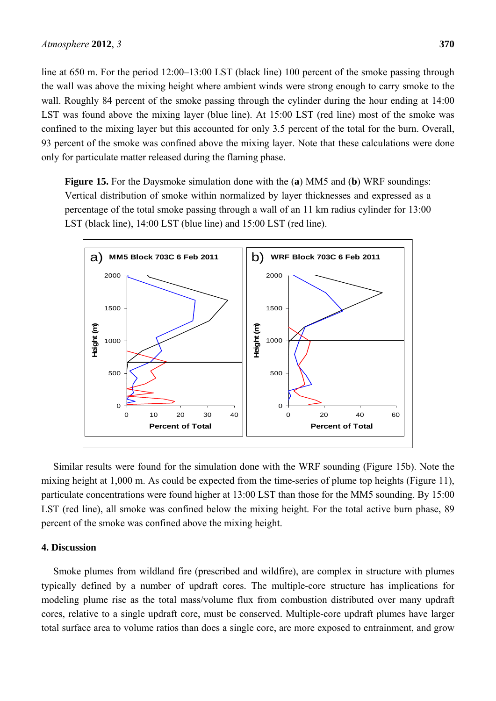line at 650 m. For the period 12:00–13:00 LST (black line) 100 percent of the smoke passing through the wall was above the mixing height where ambient winds were strong enough to carry smoke to the wall. Roughly 84 percent of the smoke passing through the cylinder during the hour ending at 14:00 LST was found above the mixing layer (blue line). At 15:00 LST (red line) most of the smoke was confined to the mixing layer but this accounted for only 3.5 percent of the total for the burn. Overall, 93 percent of the smoke was confined above the mixing layer. Note that these calculations were done only for particulate matter released during the flaming phase.

**Figure 15.** For the Daysmoke simulation done with the (**a**) MM5 and (**b**) WRF soundings: Vertical distribution of smoke within normalized by layer thicknesses and expressed as a percentage of the total smoke passing through a wall of an 11 km radius cylinder for 13:00 LST (black line), 14:00 LST (blue line) and 15:00 LST (red line).



Similar results were found for the simulation done with the WRF sounding (Figure 15b). Note the mixing height at 1,000 m. As could be expected from the time-series of plume top heights (Figure 11), particulate concentrations were found higher at 13:00 LST than those for the MM5 sounding. By 15:00 LST (red line), all smoke was confined below the mixing height. For the total active burn phase, 89 percent of the smoke was confined above the mixing height.

#### **4. Discussion**

Smoke plumes from wildland fire (prescribed and wildfire), are complex in structure with plumes typically defined by a number of updraft cores. The multiple-core structure has implications for modeling plume rise as the total mass/volume flux from combustion distributed over many updraft cores, relative to a single updraft core, must be conserved. Multiple-core updraft plumes have larger total surface area to volume ratios than does a single core, are more exposed to entrainment, and grow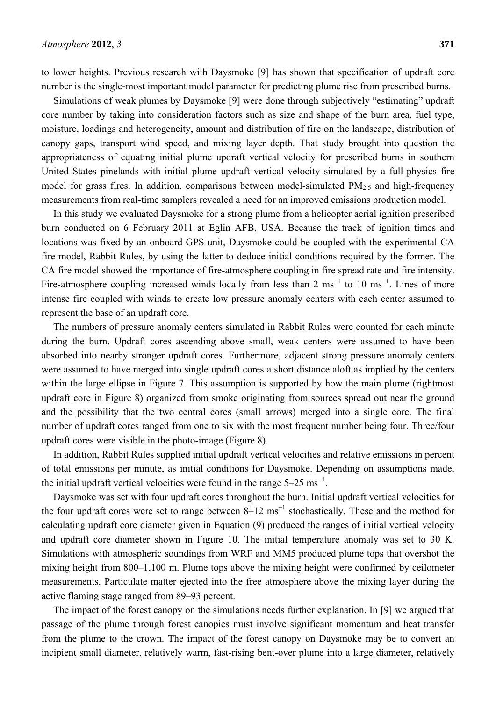to lower heights. Previous research with Daysmoke [9] has shown that specification of updraft core number is the single-most important model parameter for predicting plume rise from prescribed burns.

Simulations of weak plumes by Daysmoke [9] were done through subjectively "estimating" updraft core number by taking into consideration factors such as size and shape of the burn area, fuel type, moisture, loadings and heterogeneity, amount and distribution of fire on the landscape, distribution of canopy gaps, transport wind speed, and mixing layer depth. That study brought into question the appropriateness of equating initial plume updraft vertical velocity for prescribed burns in southern United States pinelands with initial plume updraft vertical velocity simulated by a full-physics fire model for grass fires. In addition, comparisons between model-simulated  $PM_{2.5}$  and high-frequency measurements from real-time samplers revealed a need for an improved emissions production model.

In this study we evaluated Daysmoke for a strong plume from a helicopter aerial ignition prescribed burn conducted on 6 February 2011 at Eglin AFB, USA. Because the track of ignition times and locations was fixed by an onboard GPS unit, Daysmoke could be coupled with the experimental CA fire model, Rabbit Rules, by using the latter to deduce initial conditions required by the former. The CA fire model showed the importance of fire-atmosphere coupling in fire spread rate and fire intensity. Fire-atmosphere coupling increased winds locally from less than 2 ms<sup>-1</sup> to 10 ms<sup>-1</sup>. Lines of more intense fire coupled with winds to create low pressure anomaly centers with each center assumed to represent the base of an updraft core.

The numbers of pressure anomaly centers simulated in Rabbit Rules were counted for each minute during the burn. Updraft cores ascending above small, weak centers were assumed to have been absorbed into nearby stronger updraft cores. Furthermore, adjacent strong pressure anomaly centers were assumed to have merged into single updraft cores a short distance aloft as implied by the centers within the large ellipse in Figure 7. This assumption is supported by how the main plume (rightmost updraft core in Figure 8) organized from smoke originating from sources spread out near the ground and the possibility that the two central cores (small arrows) merged into a single core. The final number of updraft cores ranged from one to six with the most frequent number being four. Three/four updraft cores were visible in the photo-image (Figure 8).

In addition, Rabbit Rules supplied initial updraft vertical velocities and relative emissions in percent of total emissions per minute, as initial conditions for Daysmoke. Depending on assumptions made, the initial updraft vertical velocities were found in the range  $5-25 \text{ ms}^{-1}$ .

Daysmoke was set with four updraft cores throughout the burn. Initial updraft vertical velocities for the four updraft cores were set to range between  $8-12$  ms<sup> $-1$ </sup> stochastically. These and the method for calculating updraft core diameter given in Equation (9) produced the ranges of initial vertical velocity and updraft core diameter shown in Figure 10. The initial temperature anomaly was set to 30 K. Simulations with atmospheric soundings from WRF and MM5 produced plume tops that overshot the mixing height from 800–1,100 m. Plume tops above the mixing height were confirmed by ceilometer measurements. Particulate matter ejected into the free atmosphere above the mixing layer during the active flaming stage ranged from 89–93 percent.

The impact of the forest canopy on the simulations needs further explanation. In [9] we argued that passage of the plume through forest canopies must involve significant momentum and heat transfer from the plume to the crown. The impact of the forest canopy on Daysmoke may be to convert an incipient small diameter, relatively warm, fast-rising bent-over plume into a large diameter, relatively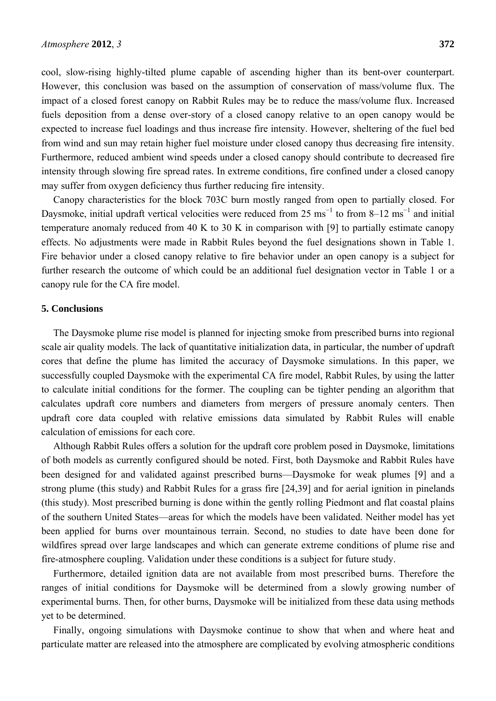cool, slow-rising highly-tilted plume capable of ascending higher than its bent-over counterpart. However, this conclusion was based on the assumption of conservation of mass/volume flux. The impact of a closed forest canopy on Rabbit Rules may be to reduce the mass/volume flux. Increased fuels deposition from a dense over-story of a closed canopy relative to an open canopy would be expected to increase fuel loadings and thus increase fire intensity. However, sheltering of the fuel bed from wind and sun may retain higher fuel moisture under closed canopy thus decreasing fire intensity. Furthermore, reduced ambient wind speeds under a closed canopy should contribute to decreased fire intensity through slowing fire spread rates. In extreme conditions, fire confined under a closed canopy may suffer from oxygen deficiency thus further reducing fire intensity.

Canopy characteristics for the block 703C burn mostly ranged from open to partially closed. For Daysmoke, initial updraft vertical velocities were reduced from 25 ms<sup>-1</sup> to from 8–12 ms<sup>-1</sup> and initial temperature anomaly reduced from 40 K to 30 K in comparison with [9] to partially estimate canopy effects. No adjustments were made in Rabbit Rules beyond the fuel designations shown in Table 1. Fire behavior under a closed canopy relative to fire behavior under an open canopy is a subject for further research the outcome of which could be an additional fuel designation vector in Table 1 or a canopy rule for the CA fire model.

## **5. Conclusions**

The Daysmoke plume rise model is planned for injecting smoke from prescribed burns into regional scale air quality models. The lack of quantitative initialization data, in particular, the number of updraft cores that define the plume has limited the accuracy of Daysmoke simulations. In this paper, we successfully coupled Daysmoke with the experimental CA fire model, Rabbit Rules, by using the latter to calculate initial conditions for the former. The coupling can be tighter pending an algorithm that calculates updraft core numbers and diameters from mergers of pressure anomaly centers. Then updraft core data coupled with relative emissions data simulated by Rabbit Rules will enable calculation of emissions for each core.

Although Rabbit Rules offers a solution for the updraft core problem posed in Daysmoke, limitations of both models as currently configured should be noted. First, both Daysmoke and Rabbit Rules have been designed for and validated against prescribed burns—Daysmoke for weak plumes [9] and a strong plume (this study) and Rabbit Rules for a grass fire [24,39] and for aerial ignition in pinelands (this study). Most prescribed burning is done within the gently rolling Piedmont and flat coastal plains of the southern United States—areas for which the models have been validated. Neither model has yet been applied for burns over mountainous terrain. Second, no studies to date have been done for wildfires spread over large landscapes and which can generate extreme conditions of plume rise and fire-atmosphere coupling. Validation under these conditions is a subject for future study.

Furthermore, detailed ignition data are not available from most prescribed burns. Therefore the ranges of initial conditions for Daysmoke will be determined from a slowly growing number of experimental burns. Then, for other burns, Daysmoke will be initialized from these data using methods yet to be determined.

Finally, ongoing simulations with Daysmoke continue to show that when and where heat and particulate matter are released into the atmosphere are complicated by evolving atmospheric conditions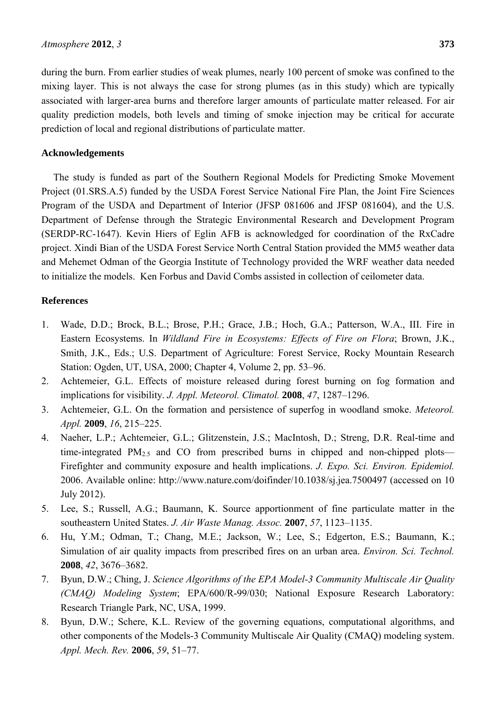during the burn. From earlier studies of weak plumes, nearly 100 percent of smoke was confined to the mixing layer. This is not always the case for strong plumes (as in this study) which are typically associated with larger-area burns and therefore larger amounts of particulate matter released. For air quality prediction models, both levels and timing of smoke injection may be critical for accurate prediction of local and regional distributions of particulate matter.

# **Acknowledgements**

The study is funded as part of the Southern Regional Models for Predicting Smoke Movement Project (01.SRS.A.5) funded by the USDA Forest Service National Fire Plan, the Joint Fire Sciences Program of the USDA and Department of Interior (JFSP 081606 and JFSP 081604), and the U.S. Department of Defense through the Strategic Environmental Research and Development Program (SERDP-RC-1647). Kevin Hiers of Eglin AFB is acknowledged for coordination of the RxCadre project. Xindi Bian of the USDA Forest Service North Central Station provided the MM5 weather data and Mehemet Odman of the Georgia Institute of Technology provided the WRF weather data needed to initialize the models. Ken Forbus and David Combs assisted in collection of ceilometer data.

# **References**

- 1. Wade, D.D.; Brock, B.L.; Brose, P.H.; Grace, J.B.; Hoch, G.A.; Patterson, W.A., III. Fire in Eastern Ecosystems. In *Wildland Fire in Ecosystems: Effects of Fire on Flora*; Brown, J.K., Smith, J.K., Eds.; U.S. Department of Agriculture: Forest Service, Rocky Mountain Research Station: Ogden, UT, USA, 2000; Chapter 4, Volume 2, pp. 53–96.
- 2. Achtemeier, G.L. Effects of moisture released during forest burning on fog formation and implications for visibility. *J. Appl. Meteorol. Climatol.* **2008**, *47*, 1287–1296.
- 3. Achtemeier, G.L. On the formation and persistence of superfog in woodland smoke. *Meteorol. Appl.* **2009**, *16*, 215–225.
- 4. Naeher, L.P.; Achtemeier, G.L.; Glitzenstein, J.S.; MacIntosh, D.; Streng, D.R. Real-time and time-integrated  $PM_{2.5}$  and CO from prescribed burns in chipped and non-chipped plots— Firefighter and community exposure and health implications. *J. Expo. Sci. Environ. Epidemiol.*  2006. Available online: http://www.nature.com/doifinder/10.1038/sj.jea.7500497 (accessed on 10 July 2012).
- 5. Lee, S.; Russell, A.G.; Baumann, K. Source apportionment of fine particulate matter in the southeastern United States. *J. Air Waste Manag. Assoc.* **2007**, *57*, 1123–1135.
- 6. Hu, Y.M.; Odman, T.; Chang, M.E.; Jackson, W.; Lee, S.; Edgerton, E.S.; Baumann, K.; Simulation of air quality impacts from prescribed fires on an urban area. *Environ. Sci. Technol.* **2008**, *42*, 3676–3682.
- 7. Byun, D.W.; Ching, J. *Science Algorithms of the EPA Model-3 Community Multiscale Air Quality (CMAQ) Modeling System*; EPA/600/R-99/030; National Exposure Research Laboratory: Research Triangle Park, NC, USA, 1999.
- 8. Byun, D.W.; Schere, K.L. Review of the governing equations, computational algorithms, and other components of the Models-3 Community Multiscale Air Quality (CMAQ) modeling system. *Appl. Mech. Rev.* **2006**, *59*, 51–77.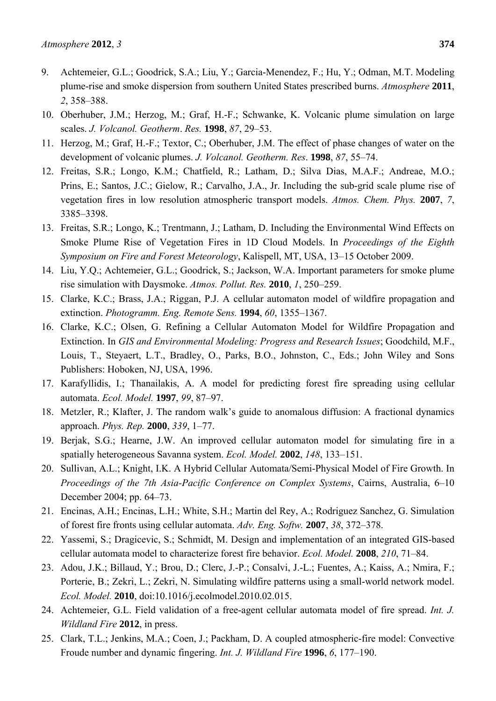- 9. Achtemeier, G.L.; Goodrick, S.A.; Liu, Y.; Garcia-Menendez, F.; Hu, Y.; Odman, M.T. Modeling plume-rise and smoke dispersion from southern United States prescribed burns. *Atmosphere* **2011**, *2*, 358–388.
- 10. Oberhuber, J.M.; Herzog, M.; Graf, H.-F.; Schwanke, K. Volcanic plume simulation on large scales. *J. Volcanol. Geotherm*. *Res.* **1998**, *87*, 29–53.
- 11. Herzog, M.; Graf, H.-F.; Textor, C.; Oberhuber, J.M. The effect of phase changes of water on the development of volcanic plumes. *J. Volcanol. Geotherm. Res*. **1998**, *87*, 55–74.
- 12. Freitas, S.R.; Longo, K.M.; Chatfield, R.; Latham, D.; Silva Dias, M.A.F.; Andreae, M.O.; Prins, E.; Santos, J.C.; Gielow, R.; Carvalho, J.A., Jr. Including the sub-grid scale plume rise of vegetation fires in low resolution atmospheric transport models. *Atmos. Chem. Phys.* **2007**, *7*, 3385–3398.
- 13. Freitas, S.R.; Longo, K.; Trentmann, J.; Latham, D. Including the Environmental Wind Effects on Smoke Plume Rise of Vegetation Fires in 1D Cloud Models. In *Proceedings of the Eighth Symposium on Fire and Forest Meteorology*, Kalispell, MT, USA, 13–15 October 2009.
- 14. Liu, Y.Q.; Achtemeier, G.L.; Goodrick, S.; Jackson, W.A. Important parameters for smoke plume rise simulation with Daysmoke. *Atmos. Pollut. Res.* **2010**, *1*, 250–259.
- 15. Clarke, K.C.; Brass, J.A.; Riggan, P.J. A cellular automaton model of wildfire propagation and extinction. *Photogramm. Eng. Remote Sens.* **1994**, *60*, 1355–1367.
- 16. Clarke, K.C.; Olsen, G. Refining a Cellular Automaton Model for Wildfire Propagation and Extinction. In *GIS and Environmental Modeling: Progress and Research Issues*; Goodchild, M.F., Louis, T., Steyaert, L.T., Bradley, O., Parks, B.O., Johnston, C., Eds.; John Wiley and Sons Publishers: Hoboken, NJ, USA, 1996.
- 17. Karafyllidis, I.; Thanailakis, A. A model for predicting forest fire spreading using cellular automata. *Ecol. Model.* **1997**, *99*, 87–97.
- 18. Metzler, R.; Klafter, J. The random walk's guide to anomalous diffusion: A fractional dynamics approach. *Phys. Rep.* **2000**, *339*, 1–77.
- 19. Berjak, S.G.; Hearne, J.W. An improved cellular automaton model for simulating fire in a spatially heterogeneous Savanna system. *Ecol. Model.* **2002**, *148*, 133–151.
- 20. Sullivan, A.L.; Knight, I.K. A Hybrid Cellular Automata/Semi-Physical Model of Fire Growth. In *Proceedings of the 7th Asia-Pacific Conference on Complex Systems*, Cairns, Australia, 6–10 December 2004; pp. 64–73.
- 21. Encinas, A.H.; Encinas, L.H.; White, S.H.; Martin del Rey, A.; Rodriguez Sanchez, G. Simulation of forest fire fronts using cellular automata. *Adv. Eng. Softw.* **2007**, *38*, 372–378.
- 22. Yassemi, S.; Dragicevic, S.; Schmidt, M. Design and implementation of an integrated GIS-based cellular automata model to characterize forest fire behavior. *Ecol. Model.* **2008**, *210*, 71–84.
- 23. Adou, J.K.; Billaud, Y.; Brou, D.; Clerc, J.-P.; Consalvi, J.-L.; Fuentes, A.; Kaiss, A.; Nmira, F.; Porterie, B.; Zekri, L.; Zekri, N. Simulating wildfire patterns using a small-world network model. *Ecol. Model.* **2010**, doi:10.1016/j.ecolmodel.2010.02.015.
- 24. Achtemeier, G.L. Field validation of a free-agent cellular automata model of fire spread. *Int. J. Wildland Fire* **2012**, in press.
- 25. Clark, T.L.; Jenkins, M.A.; Coen, J.; Packham, D. A coupled atmospheric-fire model: Convective Froude number and dynamic fingering. *Int. J. Wildland Fire* **1996**, *6*, 177–190.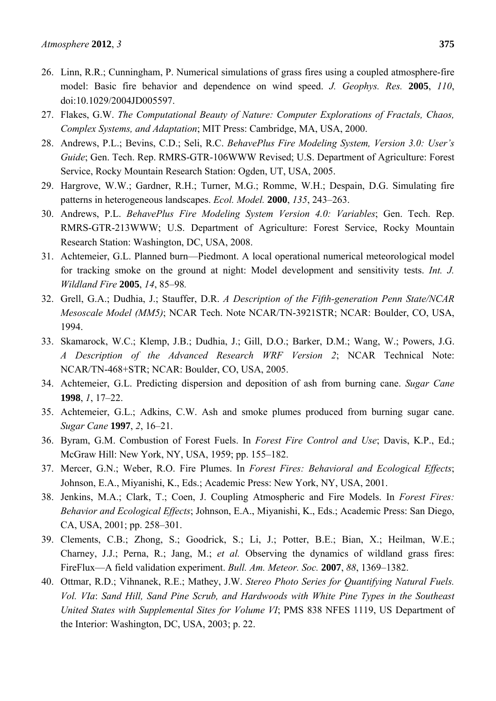- 26. Linn, R.R.; Cunningham, P. Numerical simulations of grass fires using a coupled atmosphere-fire model: Basic fire behavior and dependence on wind speed. *J. Geophys. Res.* **2005**, *110*, doi:10.1029/2004JD005597.
- 27. Flakes, G.W. *The Computational Beauty of Nature: Computer Explorations of Fractals, Chaos, Complex Systems, and Adaptation*; MIT Press: Cambridge, MA, USA, 2000.
- 28. Andrews, P.L.; Bevins, C.D.; Seli, R.C. *BehavePlus Fire Modeling System, Version 3.0: User's Guide*; Gen. Tech. Rep. RMRS-GTR-106WWW Revised; U.S. Department of Agriculture: Forest Service, Rocky Mountain Research Station: Ogden, UT, USA, 2005.
- 29. Hargrove, W.W.; Gardner, R.H.; Turner, M.G.; Romme, W.H.; Despain, D.G. Simulating fire patterns in heterogeneous landscapes. *Ecol. Model.* **2000**, *135*, 243–263.
- 30. Andrews, P.L. *BehavePlus Fire Modeling System Version 4.0: Variables*; Gen. Tech. Rep. RMRS-GTR-213WWW; U.S. Department of Agriculture: Forest Service, Rocky Mountain Research Station: Washington, DC, USA, 2008.
- 31. Achtemeier, G.L. Planned burn—Piedmont. A local operational numerical meteorological model for tracking smoke on the ground at night: Model development and sensitivity tests. *Int. J. Wildland Fire* **2005**, *14*, 85–98*.*
- 32. Grell, G.A.; Dudhia, J.; Stauffer, D.R. *A Description of the Fifth-generation Penn State/NCAR Mesoscale Model (MM5)*; NCAR Tech. Note NCAR/TN-3921STR; NCAR: Boulder, CO, USA, 1994.
- 33. Skamarock, W.C.; Klemp, J.B.; Dudhia, J.; Gill, D.O.; Barker, D.M.; Wang, W.; Powers, J.G. *A Description of the Advanced Research WRF Version 2*; NCAR Technical Note: NCAR/TN-468+STR; NCAR: Boulder, CO, USA, 2005.
- 34. Achtemeier, G.L. Predicting dispersion and deposition of ash from burning cane. *Sugar Cane* **1998**, *1*, 17–22.
- 35. Achtemeier, G.L.; Adkins, C.W. Ash and smoke plumes produced from burning sugar cane. *Sugar Cane* **1997**, *2*, 16–21.
- 36. Byram, G.M. Combustion of Forest Fuels. In *Forest Fire Control and Use*; Davis, K.P., Ed.; McGraw Hill: New York, NY, USA, 1959; pp. 155–182.
- 37. Mercer, G.N.; Weber, R.O. Fire Plumes. In *Forest Fires: Behavioral and Ecological Effects*; Johnson, E.A., Miyanishi, K., Eds.; Academic Press: New York, NY, USA, 2001.
- 38. Jenkins, M.A.; Clark, T.; Coen, J. Coupling Atmospheric and Fire Models. In *Forest Fires: Behavior and Ecological Effects*; Johnson, E.A., Miyanishi, K., Eds.; Academic Press: San Diego, CA, USA, 2001; pp. 258–301.
- 39. Clements, C.B.; Zhong, S.; Goodrick, S.; Li, J.; Potter, B.E.; Bian, X.; Heilman, W.E.; Charney, J.J.; Perna, R.; Jang, M.; *et al.* Observing the dynamics of wildland grass fires: FireFlux—A field validation experiment. *Bull. Am. Meteor. Soc.* **2007**, *88*, 1369–1382.
- 40. Ottmar, R.D.; Vihnanek, R.E.; Mathey, J.W. *Stereo Photo Series for Quantifying Natural Fuels. Vol. VIa*: *Sand Hill, Sand Pine Scrub, and Hardwoods with White Pine Types in the Southeast United States with Supplemental Sites for Volume VI*; PMS 838 NFES 1119, US Department of the Interior: Washington, DC, USA, 2003; p. 22.